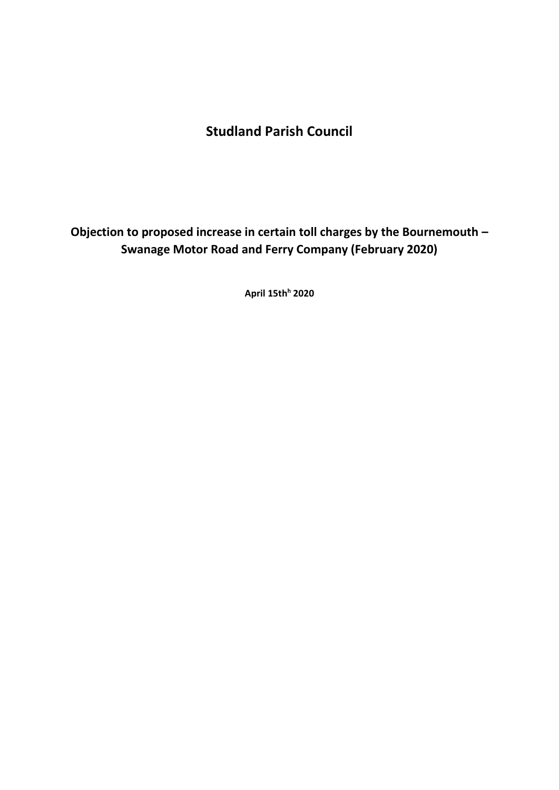# **Studland Parish Council**

**Objection to proposed increase in certain toll charges by the Bournemouth – Swanage Motor Road and Ferry Company (February 2020)**

**April 15th<sup>h</sup> 2020**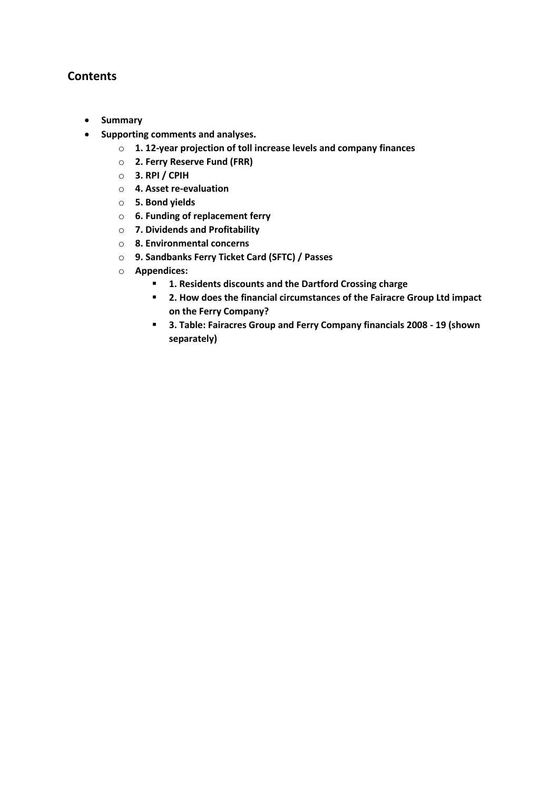# **Contents**

- **Summary**
- **Supporting comments and analyses.**
	- o **1. 12-year projection of toll increase levels and company finances**
	- o **2. Ferry Reserve Fund (FRR)**
	- o **3. RPI / CPIH**
	- o **4. Asset re-evaluation**
	- o **5. Bond yields**
	- o **6. Funding of replacement ferry**
	- o **7. Dividends and Profitability**
	- o **8. Environmental concerns**
	- o **9. Sandbanks Ferry Ticket Card (SFTC) / Passes**
	- o **Appendices:**
		- **1. Residents discounts and the Dartford Crossing charge**
		- **2. How does the financial circumstances of the Fairacre Group Ltd impact on the Ferry Company?**
		- **3. Table: Fairacres Group and Ferry Company financials 2008 - 19 (shown separately)**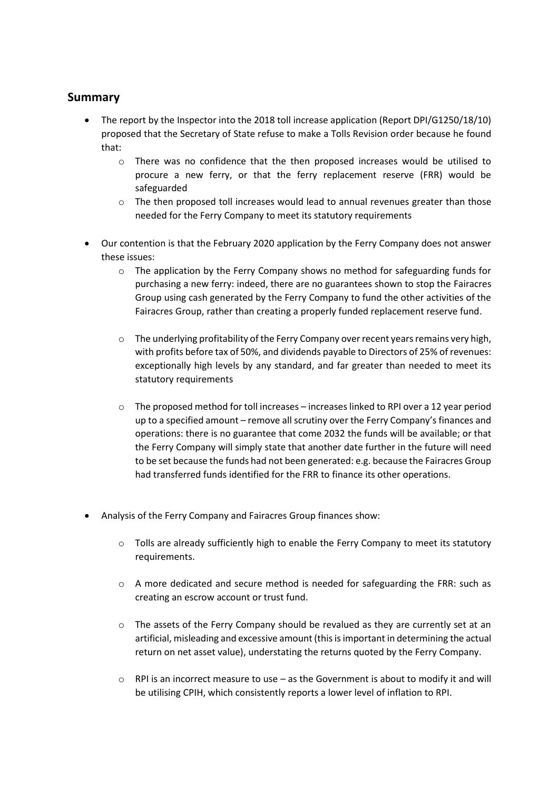# **Summary**

- The report by the Inspector into the 2018 toll increase application (Report DPI/G1250/18/10) proposed that the Secretary of State refuse to make a Tolls Revision order because he found that:
	- o There was no confidence that the then proposed increases would be utilised to procure a new ferry, or that the ferry replacement reserve (FRR) would be safeguarded
	- $\circ$  The then proposed toll increases would lead to annual revenues greater than those needed for the Ferry Company to meet its statutory requirements
- Our contention is that the February 2020 application by the Ferry Company does not answer these issues:
	- $\circ$  The application by the Ferry Company shows no method for safeguarding funds for purchasing a new ferry: indeed, there are no guarantees shown to stop the Fairacres Group using cash generated by the Ferry Company to fund the other activities of the Fairacres Group, rather than creating a properly funded replacement reserve fund.
	- o The underlying profitability of the Ferry Company over recent years remains very high, with profits before tax of 50%, and dividends payable to Directors of 25% of revenues: exceptionally high levels by any standard, and far greater than needed to meet its statutory requirements
	- $\circ$  The proposed method for toll increases increases linked to RPI over a 12 year period up to a specified amount – remove all scrutiny over the Ferry Company's finances and operations: there is no guarantee that come 2032 the funds will be available; or that the Ferry Company will simply state that another date further in the future will need to be set because the funds had not been generated: e.g. because the Fairacres Group had transferred funds identified for the FRR to finance its other operations.
- Analysis of the Ferry Company and Fairacres Group finances show:
	- $\circ$  Tolls are already sufficiently high to enable the Ferry Company to meet its statutory requirements.
	- o A more dedicated and secure method is needed for safeguarding the FRR: such as creating an escrow account or trust fund.
	- o The assets of the Ferry Company should be revalued as they are currently set at an artificial, misleading and excessive amount (this is important in determining the actual return on net asset value), understating the returns quoted by the Ferry Company.
	- $\circ$  RPI is an incorrect measure to use as the Government is about to modify it and will be utilising CPIH, which consistently reports a lower level of inflation to RPI.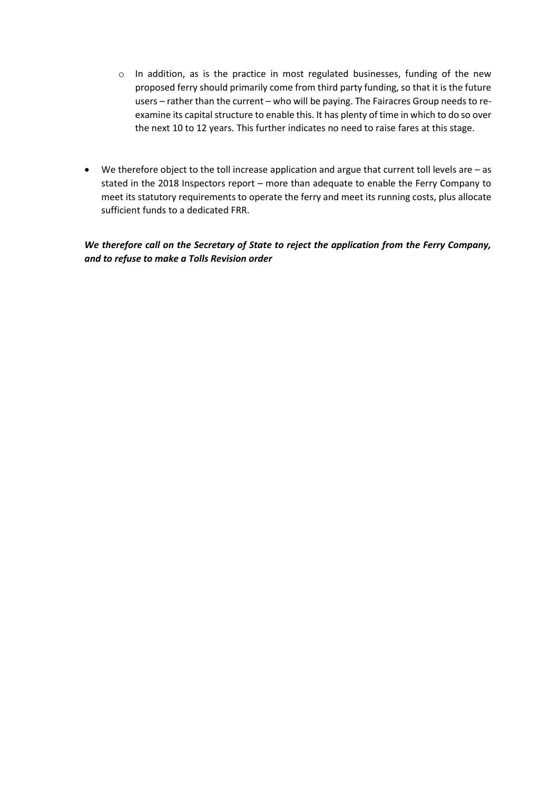- o In addition, as is the practice in most regulated businesses, funding of the new proposed ferry should primarily come from third party funding, so that it is the future users – rather than the current – who will be paying. The Fairacres Group needs to reexamine its capital structure to enable this. It has plenty of time in which to do so over the next 10 to 12 years. This further indicates no need to raise fares at this stage.
- We therefore object to the toll increase application and argue that current toll levels are as stated in the 2018 Inspectors report – more than adequate to enable the Ferry Company to meet its statutory requirements to operate the ferry and meet its running costs, plus allocate sufficient funds to a dedicated FRR.

*We therefore call on the Secretary of State to reject the application from the Ferry Company, and to refuse to make a Tolls Revision order*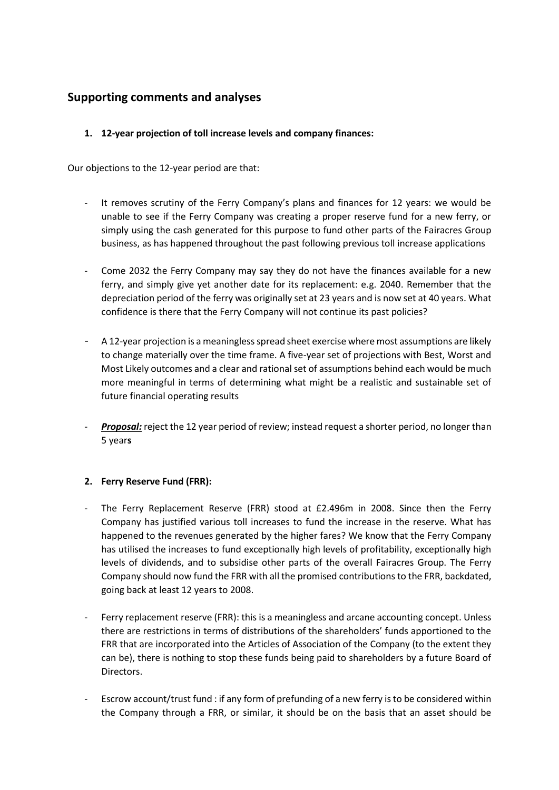# **Supporting comments and analyses**

# **1. 12-year projection of toll increase levels and company finances:**

Our objections to the 12-year period are that:

- It removes scrutiny of the Ferry Company's plans and finances for 12 years: we would be unable to see if the Ferry Company was creating a proper reserve fund for a new ferry, or simply using the cash generated for this purpose to fund other parts of the Fairacres Group business, as has happened throughout the past following previous toll increase applications
- Come 2032 the Ferry Company may say they do not have the finances available for a new ferry, and simply give yet another date for its replacement: e.g. 2040. Remember that the depreciation period of the ferry was originally set at 23 years and is now set at 40 years. What confidence is there that the Ferry Company will not continue its past policies?
- A 12-year projection is a meaningless spread sheet exercise where most assumptions are likely to change materially over the time frame. A five-year set of projections with Best, Worst and Most Likely outcomes and a clear and rational set of assumptions behind each would be much more meaningful in terms of determining what might be a realistic and sustainable set of future financial operating results
- *Proposal:* reject the 12 year period of review; instead request a shorter period, no longer than 5 year**s**

# **2. Ferry Reserve Fund (FRR):**

- The Ferry Replacement Reserve (FRR) stood at £2.496m in 2008. Since then the Ferry Company has justified various toll increases to fund the increase in the reserve. What has happened to the revenues generated by the higher fares? We know that the Ferry Company has utilised the increases to fund exceptionally high levels of profitability, exceptionally high levels of dividends, and to subsidise other parts of the overall Fairacres Group. The Ferry Company should now fund the FRR with all the promised contributions to the FRR, backdated, going back at least 12 years to 2008.
- Ferry replacement reserve (FRR): this is a meaningless and arcane accounting concept. Unless there are restrictions in terms of distributions of the shareholders' funds apportioned to the FRR that are incorporated into the Articles of Association of the Company (to the extent they can be), there is nothing to stop these funds being paid to shareholders by a future Board of Directors.
- Escrow account/trust fund : if any form of prefunding of a new ferry is to be considered within the Company through a FRR, or similar, it should be on the basis that an asset should be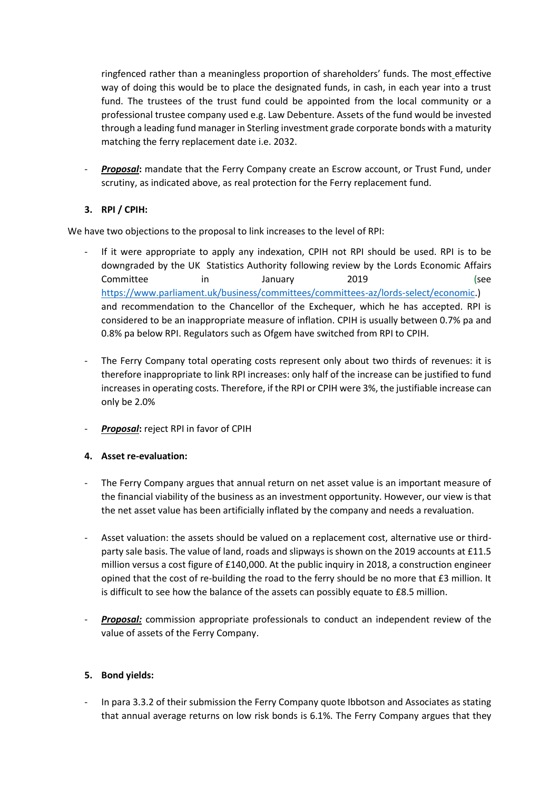ringfenced rather than a meaningless proportion of shareholders' funds. The most effective way of doing this would be to place the designated funds, in cash, in each year into a trust fund. The trustees of the trust fund could be appointed from the local community or a professional trustee company used e.g. Law Debenture. Assets of the fund would be invested through a leading fund manager in Sterling investment grade corporate bonds with a maturity matching the ferry replacement date i.e. 2032.

- *Proposal***:** mandate that the Ferry Company create an Escrow account, or Trust Fund, under scrutiny, as indicated above, as real protection for the Ferry replacement fund.

# **3. RPI / CPIH:**

We have two objections to the proposal to link increases to the level of RPI:

- If it were appropriate to apply any indexation, CPIH not RPI should be used. RPI is to be downgraded by the UK Statistics Authority following review by the Lords Economic Affairs Committee in January 2019 (see [https://www.parliament.uk/business/committees/committees-az/lords-select/economic.](https://www.parliament.uk/business/committees/committees-az/lords-select/economic)) and recommendation to the Chancellor of the Exchequer, which he has accepted. RPI is considered to be an inappropriate measure of inflation. CPIH is usually between 0.7% pa and 0.8% pa below RPI. Regulators such as Ofgem have switched from RPI to CPIH.
- The Ferry Company total operating costs represent only about two thirds of revenues: it is therefore inappropriate to link RPI increases: only half of the increase can be justified to fund increases in operating costs. Therefore, if the RPI or CPIH were 3%, the justifiable increase can only be 2.0%
- *Proposal***:** reject RPI in favor of CPIH

# **4. Asset re-evaluation:**

- The Ferry Company argues that annual return on net asset value is an important measure of the financial viability of the business as an investment opportunity. However, our view is that the net asset value has been artificially inflated by the company and needs a revaluation.
- Asset valuation: the assets should be valued on a replacement cost, alternative use or thirdparty sale basis. The value of land, roads and slipways is shown on the 2019 accounts at £11.5 million versus a cost figure of £140,000. At the public inquiry in 2018, a construction engineer opined that the cost of re-building the road to the ferry should be no more that £3 million. It is difficult to see how the balance of the assets can possibly equate to £8.5 million.
- **Proposal:** commission appropriate professionals to conduct an independent review of the value of assets of the Ferry Company.

#### **5. Bond yields:**

- In para 3.3.2 of their submission the Ferry Company quote Ibbotson and Associates as stating that annual average returns on low risk bonds is 6.1%. The Ferry Company argues that they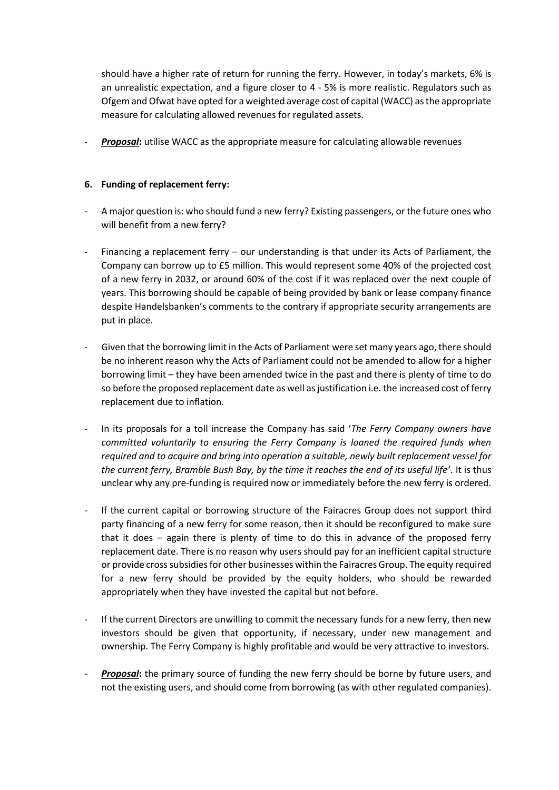should have a higher rate of return for running the ferry. However, in today's markets, 6% is an unrealistic expectation, and a figure closer to 4 - 5% is more realistic. Regulators such as Ofgem and Ofwat have opted for a weighted average cost of capital (WACC) as the appropriate measure for calculating allowed revenues for regulated assets.

- *Proposal***:** utilise WACC as the appropriate measure for calculating allowable revenues

### **6. Funding of replacement ferry:**

- A major question is: who should fund a new ferry? Existing passengers, or the future ones who will benefit from a new ferry?
- Financing a replacement ferry our understanding is that under its Acts of Parliament, the Company can borrow up to £5 million. This would represent some 40% of the projected cost of a new ferry in 2032, or around 60% of the cost if it was replaced over the next couple of years. This borrowing should be capable of being provided by bank or lease company finance despite Handelsbanken's comments to the contrary if appropriate security arrangements are put in place.
- Given that the borrowing limit in the Acts of Parliament were set many years ago, there should be no inherent reason why the Acts of Parliament could not be amended to allow for a higher borrowing limit – they have been amended twice in the past and there is plenty of time to do so before the proposed replacement date as well as justification i.e. the increased cost of ferry replacement due to inflation.
- In its proposals for a toll increase the Company has said '*The Ferry Company owners have committed voluntarily to ensuring the Ferry Company is loaned the required funds when required and to acquire and bring into operation a suitable, newly built replacement vessel for the current ferry, Bramble Bush Bay, by the time it reaches the end of its useful life'*. It is thus unclear why any pre-funding is required now or immediately before the new ferry is ordered.
- If the current capital or borrowing structure of the Fairacres Group does not support third party financing of a new ferry for some reason, then it should be reconfigured to make sure that it does – again there is plenty of time to do this in advance of the proposed ferry replacement date. There is no reason why users should pay for an inefficient capital structure or provide cross subsidies for other businesses within the Fairacres Group. The equity required for a new ferry should be provided by the equity holders, who should be rewarded appropriately when they have invested the capital but not before.
- If the current Directors are unwilling to commit the necessary funds for a new ferry, then new investors should be given that opportunity, if necessary, under new management and ownership. The Ferry Company is highly profitable and would be very attractive to investors.
- *Proposal***:** the primary source of funding the new ferry should be borne by future users, and not the existing users, and should come from borrowing (as with other regulated companies).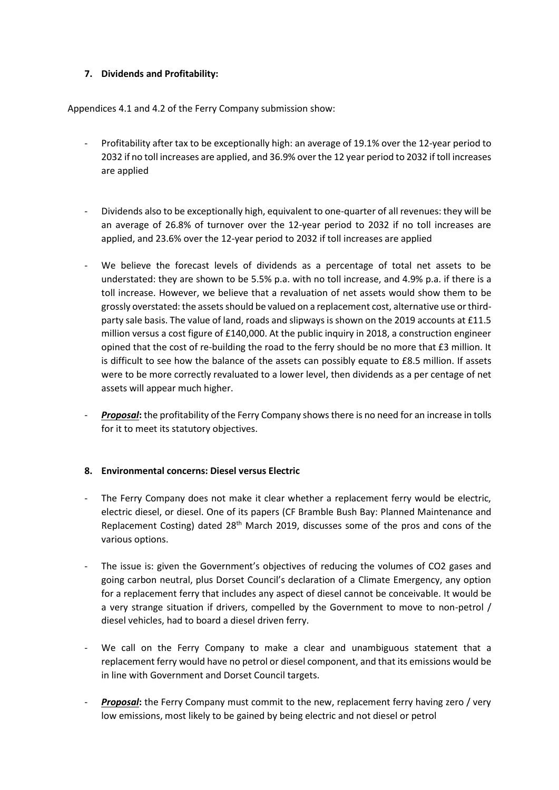### **7. Dividends and Profitability:**

Appendices 4.1 and 4.2 of the Ferry Company submission show:

- Profitability after tax to be exceptionally high: an average of 19.1% over the 12-year period to 2032 if no toll increases are applied, and 36.9% over the 12 year period to 2032 if toll increases are applied
- Dividends also to be exceptionally high, equivalent to one-quarter of all revenues: they will be an average of 26.8% of turnover over the 12-year period to 2032 if no toll increases are applied, and 23.6% over the 12-year period to 2032 if toll increases are applied
- We believe the forecast levels of dividends as a percentage of total net assets to be understated: they are shown to be 5.5% p.a. with no toll increase, and 4.9% p.a. if there is a toll increase. However, we believe that a revaluation of net assets would show them to be grossly overstated: the assets should be valued on a replacement cost, alternative use or thirdparty sale basis. The value of land, roads and slipways is shown on the 2019 accounts at £11.5 million versus a cost figure of £140,000. At the public inquiry in 2018, a construction engineer opined that the cost of re-building the road to the ferry should be no more that £3 million. It is difficult to see how the balance of the assets can possibly equate to £8.5 million. If assets were to be more correctly revaluated to a lower level, then dividends as a per centage of net assets will appear much higher.
- **Proposal**: the profitability of the Ferry Company shows there is no need for an increase in tolls for it to meet its statutory objectives.

#### **8. Environmental concerns: Diesel versus Electric**

- The Ferry Company does not make it clear whether a replacement ferry would be electric, electric diesel, or diesel. One of its papers (CF Bramble Bush Bay: Planned Maintenance and Replacement Costing) dated 28<sup>th</sup> March 2019, discusses some of the pros and cons of the various options.
- The issue is: given the Government's objectives of reducing the volumes of CO2 gases and going carbon neutral, plus Dorset Council's declaration of a Climate Emergency, any option for a replacement ferry that includes any aspect of diesel cannot be conceivable. It would be a very strange situation if drivers, compelled by the Government to move to non-petrol / diesel vehicles, had to board a diesel driven ferry.
- We call on the Ferry Company to make a clear and unambiguous statement that a replacement ferry would have no petrol or diesel component, and that its emissions would be in line with Government and Dorset Council targets.
- **Proposal:** the Ferry Company must commit to the new, replacement ferry having zero / very low emissions, most likely to be gained by being electric and not diesel or petrol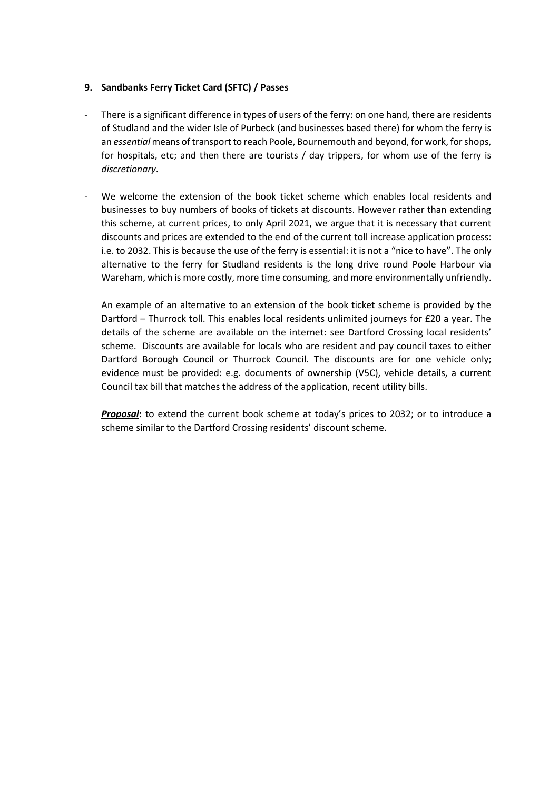#### **9. Sandbanks Ferry Ticket Card (SFTC) / Passes**

- There is a significant difference in types of users of the ferry: on one hand, there are residents of Studland and the wider Isle of Purbeck (and businesses based there) for whom the ferry is an *essential* means of transport to reach Poole, Bournemouth and beyond, for work, for shops, for hospitals, etc; and then there are tourists / day trippers, for whom use of the ferry is *discretionary*.
- We welcome the extension of the book ticket scheme which enables local residents and businesses to buy numbers of books of tickets at discounts. However rather than extending this scheme, at current prices, to only April 2021, we argue that it is necessary that current discounts and prices are extended to the end of the current toll increase application process: i.e. to 2032. This is because the use of the ferry is essential: it is not a "nice to have". The only alternative to the ferry for Studland residents is the long drive round Poole Harbour via Wareham, which is more costly, more time consuming, and more environmentally unfriendly.

An example of an alternative to an extension of the book ticket scheme is provided by the Dartford – Thurrock toll. This enables local residents unlimited journeys for £20 a year. The details of the scheme are available on the internet: see Dartford Crossing local residents' scheme. Discounts are available for locals who are resident and pay council taxes to either Dartford Borough Council or Thurrock Council. The discounts are for one vehicle only; evidence must be provided: e.g. documents of ownership (V5C), vehicle details, a current Council tax bill that matches the address of the application, recent utility bills.

*Proposal***:** to extend the current book scheme at today's prices to 2032; or to introduce a scheme similar to the Dartford Crossing residents' discount scheme.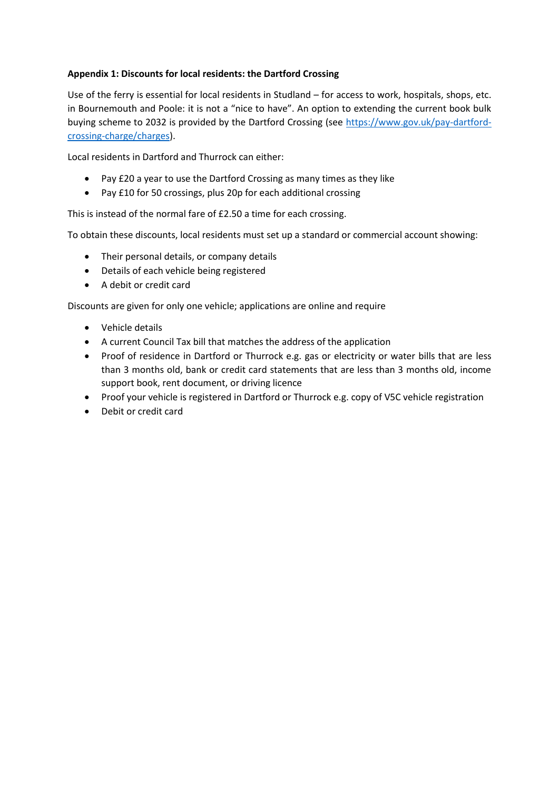# **Appendix 1: Discounts for local residents: the Dartford Crossing**

Use of the ferry is essential for local residents in Studland – for access to work, hospitals, shops, etc. in Bournemouth and Poole: it is not a "nice to have". An option to extending the current book bulk buying scheme to 2032 is provided by the Dartford Crossing (see [https://www.gov.uk/pay-dartford](https://www.gov.uk/pay-dartford-crossing-charge/charges)[crossing-charge/charges\)](https://www.gov.uk/pay-dartford-crossing-charge/charges).

Local residents in Dartford and Thurrock can either:

- Pay £20 a year to use the Dartford Crossing as many times as they like
- Pay £10 for 50 crossings, plus 20p for each additional crossing

This is instead of the normal fare of £2.50 a time for each crossing.

To obtain these discounts, local residents must set up a standard or commercial account showing:

- Their personal details, or company details
- Details of each vehicle being registered
- A debit or credit card

Discounts are given for only one vehicle; applications are online and require

- Vehicle details
- A current Council Tax bill that matches the address of the application
- Proof of residence in Dartford or Thurrock e.g. gas or electricity or water bills that are less than 3 months old, bank or credit card statements that are less than 3 months old, income support book, rent document, or driving licence
- Proof your vehicle is registered in Dartford or Thurrock e.g. copy of V5C vehicle registration
- Debit or credit card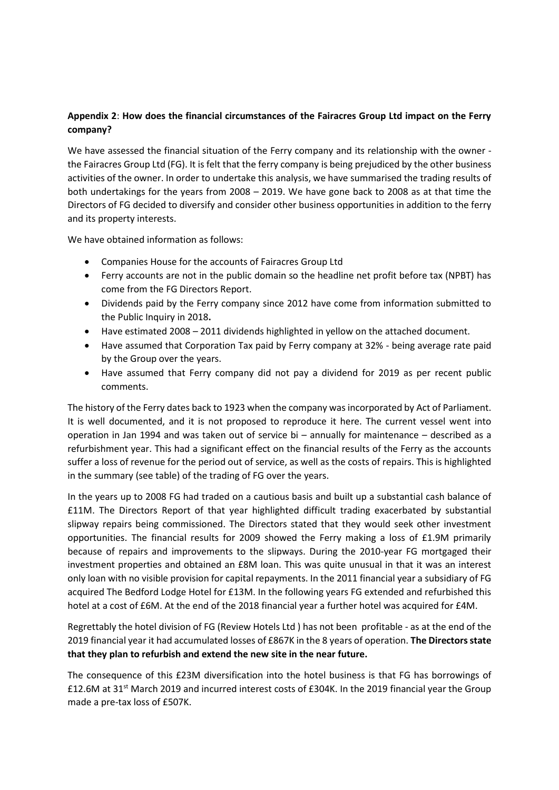# **Appendix 2**: **How does the financial circumstances of the Fairacres Group Ltd impact on the Ferry company?**

We have assessed the financial situation of the Ferry company and its relationship with the owner the Fairacres Group Ltd (FG). It is felt that the ferry company is being prejudiced by the other business activities of the owner. In order to undertake this analysis, we have summarised the trading results of both undertakings for the years from 2008 – 2019. We have gone back to 2008 as at that time the Directors of FG decided to diversify and consider other business opportunities in addition to the ferry and its property interests.

We have obtained information as follows:

- Companies House for the accounts of Fairacres Group Ltd
- Ferry accounts are not in the public domain so the headline net profit before tax (NPBT) has come from the FG Directors Report.
- Dividends paid by the Ferry company since 2012 have come from information submitted to the Public Inquiry in 2018**.**
- Have estimated 2008 2011 dividends highlighted in yellow on the attached document.
- Have assumed that Corporation Tax paid by Ferry company at 32% being average rate paid by the Group over the years.
- Have assumed that Ferry company did not pay a dividend for 2019 as per recent public comments.

The history of the Ferry dates back to 1923 when the company was incorporated by Act of Parliament. It is well documented, and it is not proposed to reproduce it here. The current vessel went into operation in Jan 1994 and was taken out of service bi – annually for maintenance – described as a refurbishment year. This had a significant effect on the financial results of the Ferry as the accounts suffer a loss of revenue for the period out of service, as well as the costs of repairs. This is highlighted in the summary (see table) of the trading of FG over the years.

In the years up to 2008 FG had traded on a cautious basis and built up a substantial cash balance of £11M. The Directors Report of that year highlighted difficult trading exacerbated by substantial slipway repairs being commissioned. The Directors stated that they would seek other investment opportunities. The financial results for 2009 showed the Ferry making a loss of £1.9M primarily because of repairs and improvements to the slipways. During the 2010-year FG mortgaged their investment properties and obtained an £8M loan. This was quite unusual in that it was an interest only loan with no visible provision for capital repayments. In the 2011 financial year a subsidiary of FG acquired The Bedford Lodge Hotel for £13M. In the following years FG extended and refurbished this hotel at a cost of £6M. At the end of the 2018 financial year a further hotel was acquired for £4M.

Regrettably the hotel division of FG (Review Hotels Ltd ) has not been profitable - as at the end of the 2019 financial year it had accumulated losses of £867K in the 8 years of operation. **The Directors state that they plan to refurbish and extend the new site in the near future.** 

The consequence of this £23M diversification into the hotel business is that FG has borrowings of £12.6M at 31<sup>st</sup> March 2019 and incurred interest costs of £304K. In the 2019 financial year the Group made a pre-tax loss of £507K.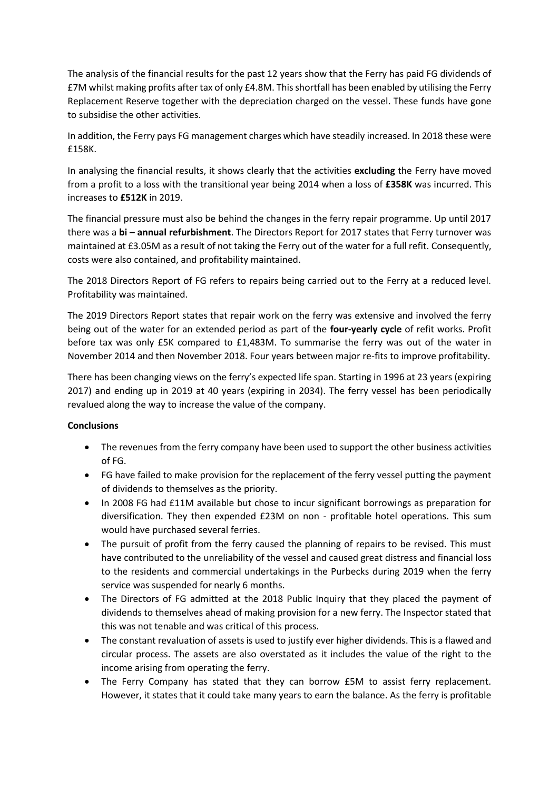The analysis of the financial results for the past 12 years show that the Ferry has paid FG dividends of £7M whilst making profits after tax of only £4.8M. This shortfall has been enabled by utilising the Ferry Replacement Reserve together with the depreciation charged on the vessel. These funds have gone to subsidise the other activities.

In addition, the Ferry pays FG management charges which have steadily increased. In 2018 these were £158K.

In analysing the financial results, it shows clearly that the activities **excluding** the Ferry have moved from a profit to a loss with the transitional year being 2014 when a loss of **£358K** was incurred. This increases to **£512K** in 2019.

The financial pressure must also be behind the changes in the ferry repair programme. Up until 2017 there was a **bi – annual refurbishment**. The Directors Report for 2017 states that Ferry turnover was maintained at £3.05M as a result of not taking the Ferry out of the water for a full refit. Consequently, costs were also contained, and profitability maintained.

The 2018 Directors Report of FG refers to repairs being carried out to the Ferry at a reduced level. Profitability was maintained.

The 2019 Directors Report states that repair work on the ferry was extensive and involved the ferry being out of the water for an extended period as part of the **four-yearly cycle** of refit works. Profit before tax was only £5K compared to £1,483M. To summarise the ferry was out of the water in November 2014 and then November 2018. Four years between major re-fits to improve profitability.

There has been changing views on the ferry's expected life span. Starting in 1996 at 23 years (expiring 2017) and ending up in 2019 at 40 years (expiring in 2034). The ferry vessel has been periodically revalued along the way to increase the value of the company.

# **Conclusions**

- The revenues from the ferry company have been used to support the other business activities of FG.
- FG have failed to make provision for the replacement of the ferry vessel putting the payment of dividends to themselves as the priority.
- In 2008 FG had £11M available but chose to incur significant borrowings as preparation for diversification. They then expended £23M on non - profitable hotel operations. This sum would have purchased several ferries.
- The pursuit of profit from the ferry caused the planning of repairs to be revised. This must have contributed to the unreliability of the vessel and caused great distress and financial loss to the residents and commercial undertakings in the Purbecks during 2019 when the ferry service was suspended for nearly 6 months.
- The Directors of FG admitted at the 2018 Public Inquiry that they placed the payment of dividends to themselves ahead of making provision for a new ferry. The Inspector stated that this was not tenable and was critical of this process.
- The constant revaluation of assets is used to justify ever higher dividends. This is a flawed and circular process. The assets are also overstated as it includes the value of the right to the income arising from operating the ferry.
- The Ferry Company has stated that they can borrow £5M to assist ferry replacement. However, it states that it could take many years to earn the balance. As the ferry is profitable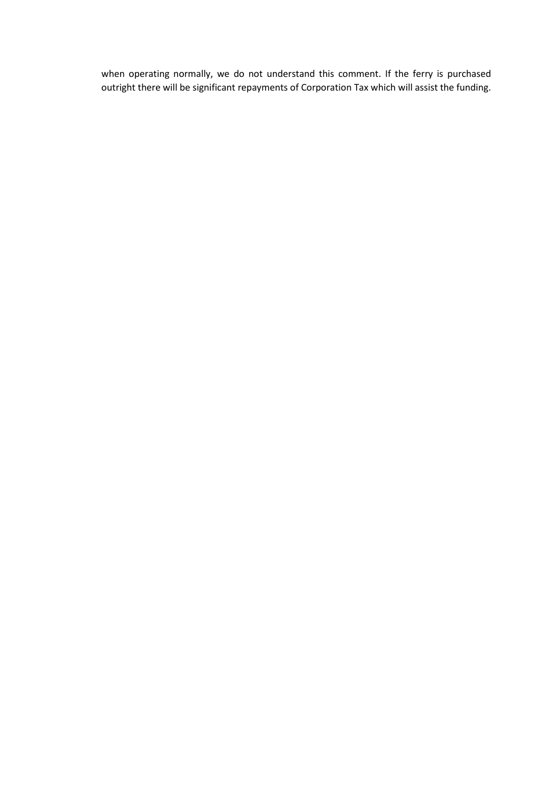when operating normally, we do not understand this comment. If the ferry is purchased outright there will be significant repayments of Corporation Tax which will assist the funding.